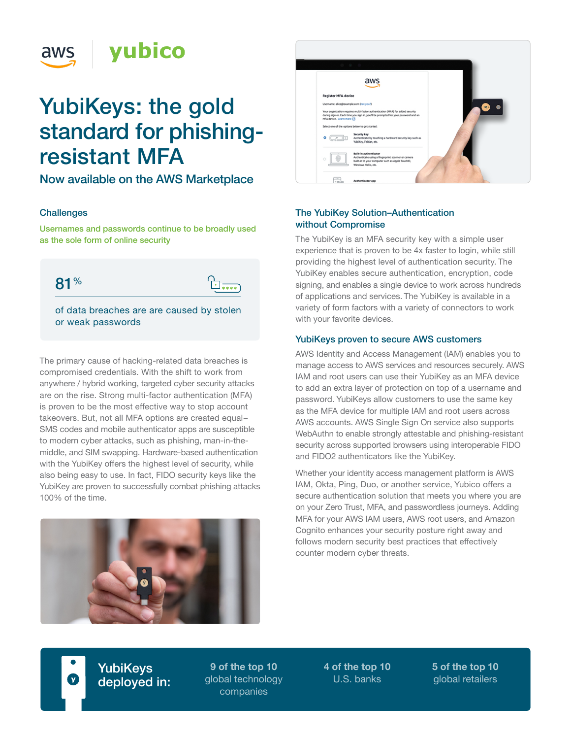

# YubiKeys: the gold standard for phishingresistant MFA

Now available on the AWS Marketplace

# **Challenges**

Usernames and passwords continue to be broadly used as the sole form of online security

81%

of data breaches are are caused by stolen or weak passwords

 $\Box$ 

The primary cause of hacking-related data breaches is compromised credentials. With the shift to work from anywhere / hybrid working, targeted cyber security attacks are on the rise. Strong multi-factor authentication (MFA) is proven to be the most effective way to stop account takeovers. But, not all MFA options are created equal– SMS codes and mobile authenticator apps are susceptible to modern cyber attacks, such as phishing, man-in-themiddle, and SIM swapping. Hardware-based authentication with the YubiKey offers the highest level of security, while also being easy to use. In fact, FIDO security keys like the YubiKey are proven to successfully combat phishing attacks 100% of the time.





# The YubiKey Solution–Authentication without Compromise

The YubiKey is an MFA security key with a simple user experience that is proven to be 4x faster to login, while still providing the highest level of authentication security. The YubiKey enables secure authentication, encryption, code signing, and enables a single device to work across hundreds of applications and services. The YubiKey is available in a variety of form factors with a variety of connectors to work with your favorite devices.

#### YubiKeys proven to secure AWS customers

AWS Identity and Access Management (IAM) enables you to manage access to AWS services and resources securely. AWS IAM and root users can use their YubiKey as an MFA device to add an extra layer of protection on top of a username and password. YubiKeys allow customers to use the same key as the MFA device for multiple IAM and root users across AWS accounts. AWS Single Sign On service also supports WebAuthn to enable strongly attestable and phishing-resistant security across supported browsers using interoperable FIDO and FIDO2 authenticators like the YubiKey.

Whether your identity access management platform is AWS IAM, Okta, Ping, Duo, or another service, Yubico offers a secure authentication solution that meets you where you are on your Zero Trust, MFA, and passwordless journeys. Adding MFA for your AWS IAM users, AWS root users, and Amazon Cognito enhances your security posture right away and follows modern security best practices that effectively counter modern cyber threats.

**YubiKeys** deployed in:

**9 of the top 10** global technology companies

**4 of the top 10** U.S. banks

**5 of the top 10** global retailers